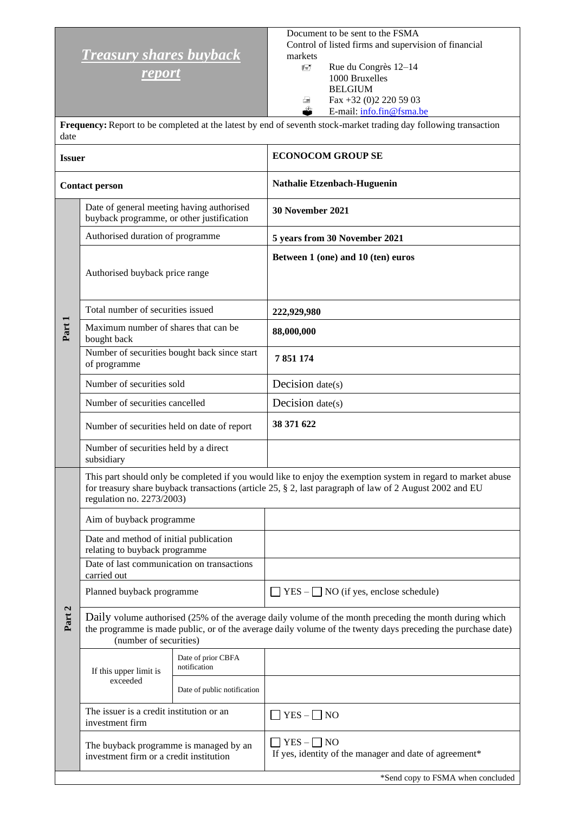## *Treasury shares buyback*

*report*

Document to be sent to the FSMA Control of listed firms and supervision of financial markets

 Rue du Congrès 12–14 1000 Bruxelles BELGIUM  $\triangle$  Fax +32 (0)2 220 59 03<br>
E-mail: info.fin@fsma.b E-mail: [info.fin@fsma.be](mailto:info.fin@fsma.be)

**Frequency:**Report to be completed at the latest by end of seventh stock-market trading day following transaction date

| <b>Issuer</b>         |                                                                                        |                                    | <b>ECONOCOM GROUP SE</b>                                                                                                                                                                                                |  |  |
|-----------------------|----------------------------------------------------------------------------------------|------------------------------------|-------------------------------------------------------------------------------------------------------------------------------------------------------------------------------------------------------------------------|--|--|
| <b>Contact person</b> |                                                                                        |                                    | Nathalie Etzenbach-Huguenin                                                                                                                                                                                             |  |  |
| Part 1                | Date of general meeting having authorised<br>buyback programme, or other justification |                                    | 30 November 2021                                                                                                                                                                                                        |  |  |
|                       | Authorised duration of programme                                                       |                                    | 5 years from 30 November 2021                                                                                                                                                                                           |  |  |
|                       | Authorised buyback price range                                                         |                                    | Between 1 (one) and 10 (ten) euros                                                                                                                                                                                      |  |  |
|                       | Total number of securities issued                                                      |                                    | 222,929,980                                                                                                                                                                                                             |  |  |
|                       | Maximum number of shares that can be<br>bought back                                    |                                    | 88,000,000                                                                                                                                                                                                              |  |  |
|                       | Number of securities bought back since start<br>of programme                           |                                    | 7851174                                                                                                                                                                                                                 |  |  |
|                       | Number of securities sold                                                              |                                    | Decision $date(s)$                                                                                                                                                                                                      |  |  |
|                       | Number of securities cancelled                                                         |                                    | Decision $date(s)$                                                                                                                                                                                                      |  |  |
|                       | Number of securities held on date of report                                            |                                    | 38 371 622                                                                                                                                                                                                              |  |  |
|                       | Number of securities held by a direct<br>subsidiary                                    |                                    |                                                                                                                                                                                                                         |  |  |
| Part 2                | regulation no. 2273/2003)                                                              |                                    | This part should only be completed if you would like to enjoy the exemption system in regard to market abuse<br>for treasury share buyback transactions (article 25, § 2, last paragraph of law of 2 August 2002 and EU |  |  |
|                       | Aim of buyback programme                                                               |                                    |                                                                                                                                                                                                                         |  |  |
|                       | Date and method of initial publication<br>relating to buyback programme                |                                    |                                                                                                                                                                                                                         |  |  |
|                       | Date of last communication on transactions<br>carried out                              |                                    |                                                                                                                                                                                                                         |  |  |
|                       | Planned buyback programme                                                              |                                    | $YES -$ NO (if yes, enclose schedule)                                                                                                                                                                                   |  |  |
|                       | (number of securities)                                                                 |                                    | Daily volume authorised (25% of the average daily volume of the month preceding the month during which<br>the programme is made public, or of the average daily volume of the twenty days preceding the purchase date)  |  |  |
|                       | If this upper limit is<br>exceeded                                                     | Date of prior CBFA<br>notification |                                                                                                                                                                                                                         |  |  |
|                       |                                                                                        | Date of public notification        |                                                                                                                                                                                                                         |  |  |
|                       | The issuer is a credit institution or an<br>investment firm                            |                                    | $YES - \Box NO$                                                                                                                                                                                                         |  |  |
|                       | The buyback programme is managed by an<br>investment firm or a credit institution      |                                    | $YES - \Box NO$<br>If yes, identity of the manager and date of agreement*                                                                                                                                               |  |  |
|                       |                                                                                        |                                    | *Send copy to FSMA when concluded                                                                                                                                                                                       |  |  |